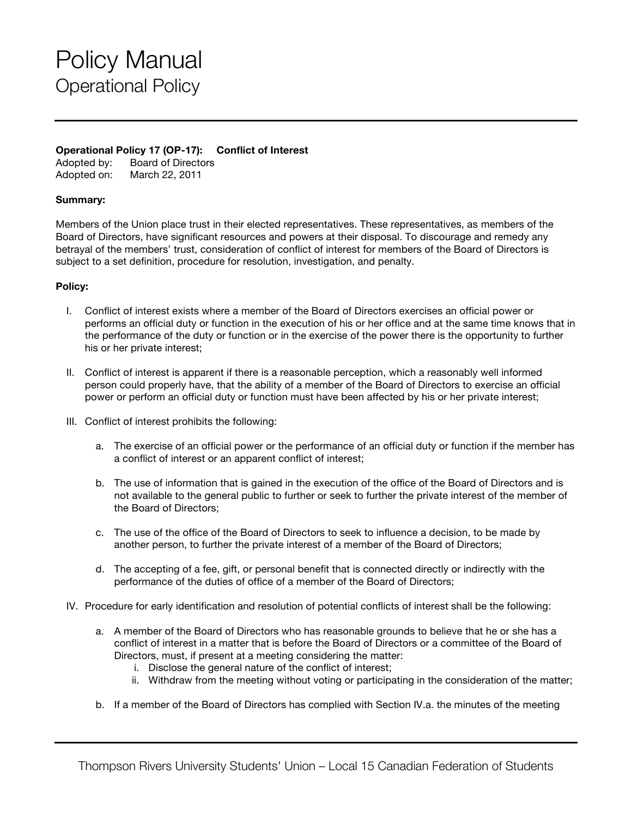## Policy Manual Operational Policy

## **Operational Policy 17 (OP-17): Conflict of Interest**

Adopted by: Board of Directors Adopted on: March 22, 2011

## **Summary:**

Members of the Union place trust in their elected representatives. These representatives, as members of the Board of Directors, have significant resources and powers at their disposal. To discourage and remedy any betrayal of the members' trust, consideration of conflict of interest for members of the Board of Directors is subject to a set definition, procedure for resolution, investigation, and penalty.

## **Policy:**

- I. Conflict of interest exists where a member of the Board of Directors exercises an official power or performs an official duty or function in the execution of his or her office and at the same time knows that in the performance of the duty or function or in the exercise of the power there is the opportunity to further his or her private interest;
- II. Conflict of interest is apparent if there is a reasonable perception, which a reasonably well informed person could properly have, that the ability of a member of the Board of Directors to exercise an official power or perform an official duty or function must have been affected by his or her private interest;
- III. Conflict of interest prohibits the following:
	- a. The exercise of an official power or the performance of an official duty or function if the member has a conflict of interest or an apparent conflict of interest;
	- b. The use of information that is gained in the execution of the office of the Board of Directors and is not available to the general public to further or seek to further the private interest of the member of the Board of Directors;
	- c. The use of the office of the Board of Directors to seek to influence a decision, to be made by another person, to further the private interest of a member of the Board of Directors;
	- d. The accepting of a fee, gift, or personal benefit that is connected directly or indirectly with the performance of the duties of office of a member of the Board of Directors;
- IV. Procedure for early identification and resolution of potential conflicts of interest shall be the following:
	- a. A member of the Board of Directors who has reasonable grounds to believe that he or she has a conflict of interest in a matter that is before the Board of Directors or a committee of the Board of Directors, must, if present at a meeting considering the matter:
		- i. Disclose the general nature of the conflict of interest;
		- ii. Withdraw from the meeting without voting or participating in the consideration of the matter;
	- b. If a member of the Board of Directors has complied with Section IV.a. the minutes of the meeting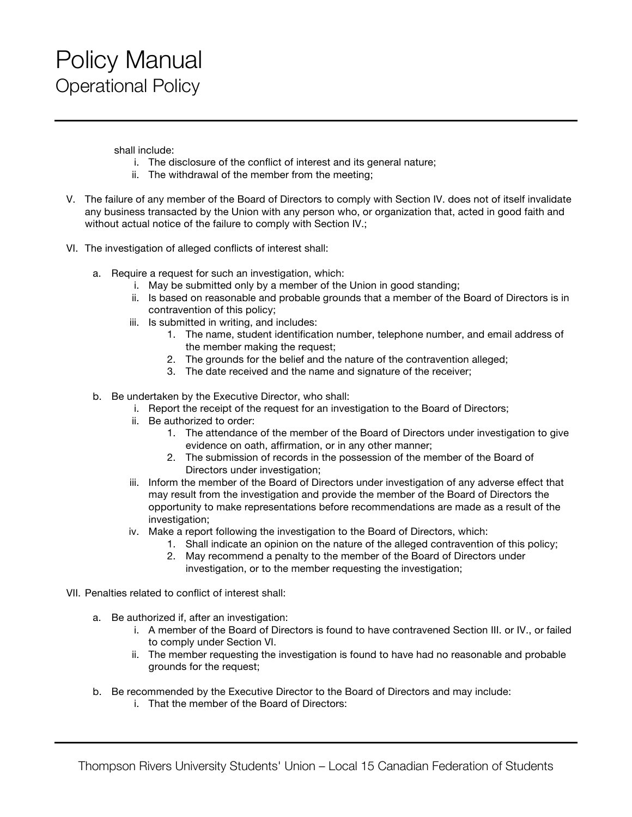shall include:

- i. The disclosure of the conflict of interest and its general nature;
- ii. The withdrawal of the member from the meeting;
- V. The failure of any member of the Board of Directors to comply with Section IV. does not of itself invalidate any business transacted by the Union with any person who, or organization that, acted in good faith and without actual notice of the failure to comply with Section IV.;
- VI. The investigation of alleged conflicts of interest shall:
	- a. Require a request for such an investigation, which:
		- i. May be submitted only by a member of the Union in good standing;
		- ii. Is based on reasonable and probable grounds that a member of the Board of Directors is in contravention of this policy;
		- iii. Is submitted in writing, and includes:
			- 1. The name, student identification number, telephone number, and email address of the member making the request;
			- 2. The grounds for the belief and the nature of the contravention alleged;
			- 3. The date received and the name and signature of the receiver;
	- b. Be undertaken by the Executive Director, who shall:
		- i. Report the receipt of the request for an investigation to the Board of Directors;
		- ii. Be authorized to order:
			- 1. The attendance of the member of the Board of Directors under investigation to give evidence on oath, affirmation, or in any other manner;
			- 2. The submission of records in the possession of the member of the Board of Directors under investigation;
		- iii. Inform the member of the Board of Directors under investigation of any adverse effect that may result from the investigation and provide the member of the Board of Directors the opportunity to make representations before recommendations are made as a result of the investigation;
		- iv. Make a report following the investigation to the Board of Directors, which:
			- 1. Shall indicate an opinion on the nature of the alleged contravention of this policy;
			- 2. May recommend a penalty to the member of the Board of Directors under investigation, or to the member requesting the investigation;
- VII. Penalties related to conflict of interest shall:
	- a. Be authorized if, after an investigation:
		- i. A member of the Board of Directors is found to have contravened Section III. or IV., or failed to comply under Section VI.
		- ii. The member requesting the investigation is found to have had no reasonable and probable grounds for the request;
	- b. Be recommended by the Executive Director to the Board of Directors and may include:
		- i. That the member of the Board of Directors: